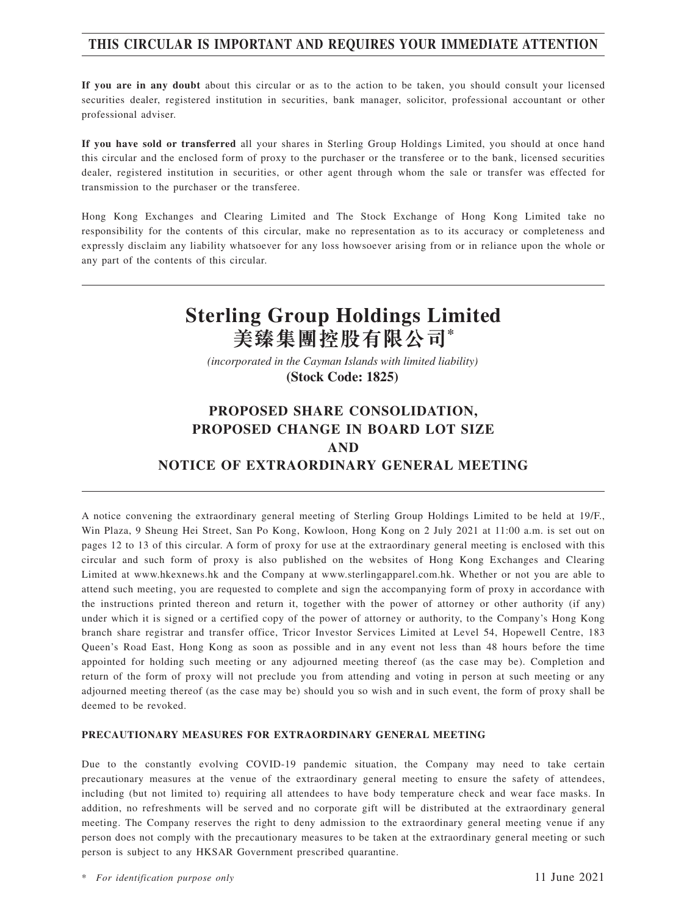# **THIS CIRCULAR IS IMPORTANT AND REQUIRES YOUR IMMEDIATE ATTENTION**

**If you are in any doubt** about this circular or as to the action to be taken, you should consult your licensed securities dealer, registered institution in securities, bank manager, solicitor, professional accountant or other professional adviser.

**If you have sold or transferred** all your shares in Sterling Group Holdings Limited, you should at once hand this circular and the enclosed form of proxy to the purchaser or the transferee or to the bank, licensed securities dealer, registered institution in securities, or other agent through whom the sale or transfer was effected for transmission to the purchaser or the transferee.

Hong Kong Exchanges and Clearing Limited and The Stock Exchange of Hong Kong Limited take no responsibility for the contents of this circular, make no representation as to its accuracy or completeness and expressly disclaim any liability whatsoever for any loss howsoever arising from or in reliance upon the whole or any part of the contents of this circular.

# **Sterling Group Holdings Limited 美臻集團控股有限公司\***

*(incorporated in the Cayman Islands with limited liability)*  **(Stock Code: 1825)** 

# **PROPOSED SHARE CONSOLIDATION, PROPOSED CHANGE IN BOARD LOT SIZE AND NOTICE OF EXTRAORDINARY GENERAL MEETING**

A notice convening the extraordinary general meeting of Sterling Group Holdings Limited to be held at 19/F., Win Plaza, 9 Sheung Hei Street, San Po Kong, Kowloon, Hong Kong on 2 July 2021 at 11:00 a.m. is set out on pages 12 to 13 of this circular. A form of proxy for use at the extraordinary general meeting is enclosed with this circular and such form of proxy is also published on the websites of Hong Kong Exchanges and Clearing Limited at www.hkexnews.hk and the Company at www.sterlingapparel.com.hk. Whether or not you are able to attend such meeting, you are requested to complete and sign the accompanying form of proxy in accordance with the instructions printed thereon and return it, together with the power of attorney or other authority (if any) under which it is signed or a certified copy of the power of attorney or authority, to the Company's Hong Kong branch share registrar and transfer office, Tricor Investor Services Limited at Level 54, Hopewell Centre, 183 Queen's Road East, Hong Kong as soon as possible and in any event not less than 48 hours before the time appointed for holding such meeting or any adjourned meeting thereof (as the case may be). Completion and return of the form of proxy will not preclude you from attending and voting in person at such meeting or any adjourned meeting thereof (as the case may be) should you so wish and in such event, the form of proxy shall be deemed to be revoked.

#### **PRECAUTIONARY MEASURES FOR EXTRAORDINARY GENERAL MEETING**

Due to the constantly evolving COVID-19 pandemic situation, the Company may need to take certain precautionary measures at the venue of the extraordinary general meeting to ensure the safety of attendees, including (but not limited to) requiring all attendees to have body temperature check and wear face masks. In addition, no refreshments will be served and no corporate gift will be distributed at the extraordinary general meeting. The Company reserves the right to deny admission to the extraordinary general meeting venue if any person does not comply with the precautionary measures to be taken at the extraordinary general meeting or such person is subject to any HKSAR Government prescribed quarantine.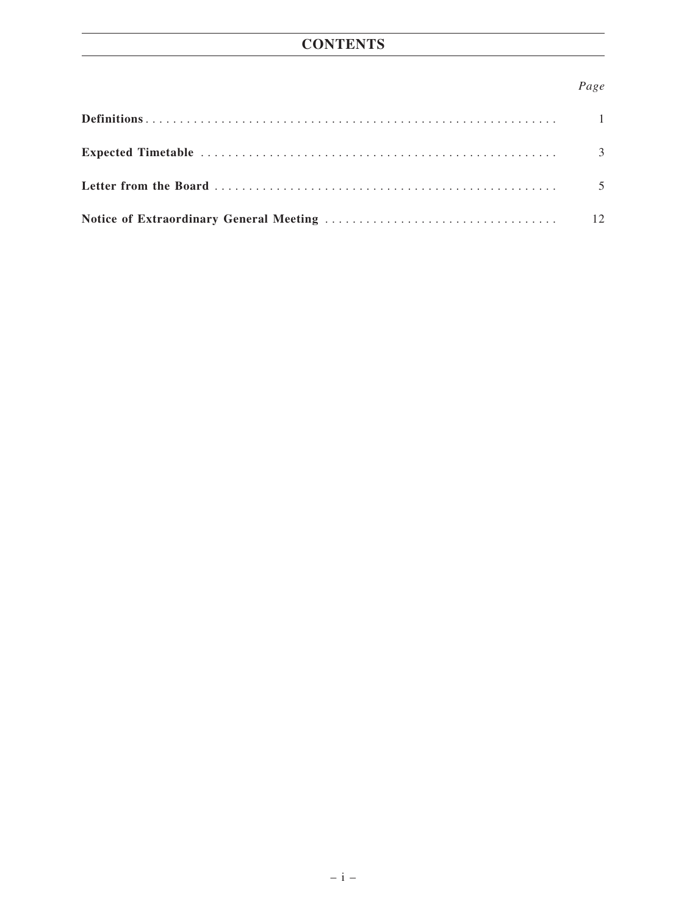# *Page*

| 3  |
|----|
|    |
| 12 |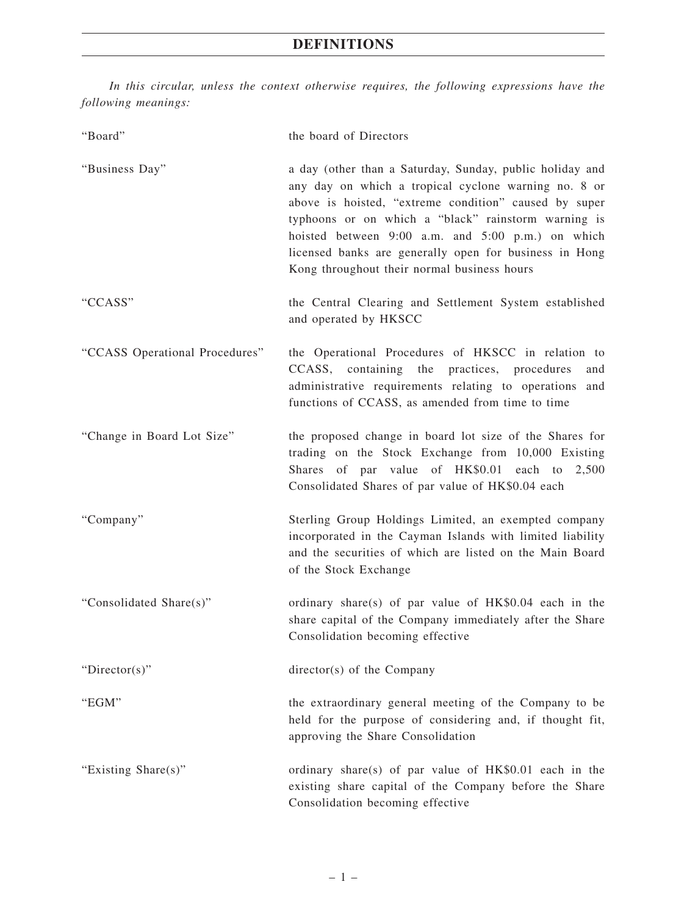*In this circular, unless the context otherwise requires, the following expressions have the following meanings:*

| "Board"                        | the board of Directors                                                                                                                                                                                                                                                                                                                                                                         |
|--------------------------------|------------------------------------------------------------------------------------------------------------------------------------------------------------------------------------------------------------------------------------------------------------------------------------------------------------------------------------------------------------------------------------------------|
| "Business Day"                 | a day (other than a Saturday, Sunday, public holiday and<br>any day on which a tropical cyclone warning no. 8 or<br>above is hoisted, "extreme condition" caused by super<br>typhoons or on which a "black" rainstorm warning is<br>hoisted between 9:00 a.m. and 5:00 p.m.) on which<br>licensed banks are generally open for business in Hong<br>Kong throughout their normal business hours |
| "CCASS"                        | the Central Clearing and Settlement System established<br>and operated by HKSCC                                                                                                                                                                                                                                                                                                                |
| "CCASS Operational Procedures" | the Operational Procedures of HKSCC in relation to<br>CCASS, containing the practices, procedures<br>and<br>administrative requirements relating to operations<br>and<br>functions of CCASS, as amended from time to time                                                                                                                                                                      |
| "Change in Board Lot Size"     | the proposed change in board lot size of the Shares for<br>trading on the Stock Exchange from 10,000 Existing<br>Shares of par value of HK\$0.01 each to 2,500<br>Consolidated Shares of par value of HK\$0.04 each                                                                                                                                                                            |
| "Company"                      | Sterling Group Holdings Limited, an exempted company<br>incorporated in the Cayman Islands with limited liability<br>and the securities of which are listed on the Main Board<br>of the Stock Exchange                                                                                                                                                                                         |
| "Consolidated Share(s)"        | ordinary share(s) of par value of HK\$0.04 each in the<br>share capital of the Company immediately after the Share<br>Consolidation becoming effective                                                                                                                                                                                                                                         |
| "Director(s)"                  | director(s) of the Company                                                                                                                                                                                                                                                                                                                                                                     |
| "EGM"                          | the extraordinary general meeting of the Company to be<br>held for the purpose of considering and, if thought fit,<br>approving the Share Consolidation                                                                                                                                                                                                                                        |
| "Existing Share(s)"            | ordinary share(s) of par value of HK\$0.01 each in the<br>existing share capital of the Company before the Share<br>Consolidation becoming effective                                                                                                                                                                                                                                           |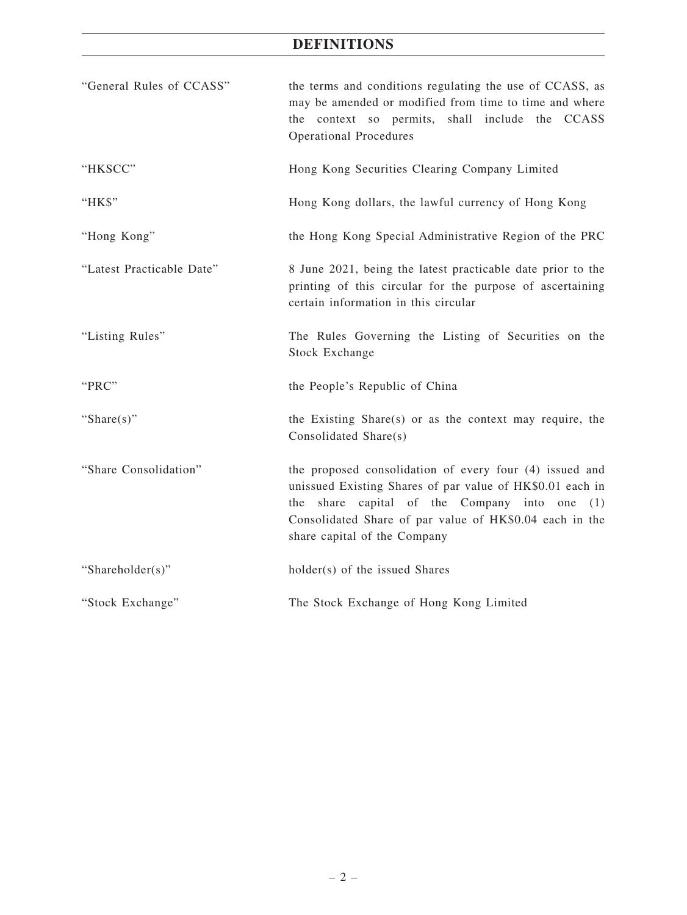# **DEFINITIONS**

| "General Rules of CCASS"  | the terms and conditions regulating the use of CCASS, as<br>may be amended or modified from time to time and where<br>the context so permits, shall include the CCASS<br><b>Operational Procedures</b>                                                              |
|---------------------------|---------------------------------------------------------------------------------------------------------------------------------------------------------------------------------------------------------------------------------------------------------------------|
| "HKSCC"                   | Hong Kong Securities Clearing Company Limited                                                                                                                                                                                                                       |
| "HK\$"                    | Hong Kong dollars, the lawful currency of Hong Kong                                                                                                                                                                                                                 |
| "Hong Kong"               | the Hong Kong Special Administrative Region of the PRC                                                                                                                                                                                                              |
| "Latest Practicable Date" | 8 June 2021, being the latest practicable date prior to the<br>printing of this circular for the purpose of ascertaining<br>certain information in this circular                                                                                                    |
| "Listing Rules"           | The Rules Governing the Listing of Securities on the<br><b>Stock Exchange</b>                                                                                                                                                                                       |
| "PRC"                     | the People's Republic of China                                                                                                                                                                                                                                      |
| "Share $(s)$ "            | the Existing Share(s) or as the context may require, the<br>Consolidated Share(s)                                                                                                                                                                                   |
| "Share Consolidation"     | the proposed consolidation of every four (4) issued and<br>unissued Existing Shares of par value of HK\$0.01 each in<br>share capital of the Company into one (1)<br>the<br>Consolidated Share of par value of HK\$0.04 each in the<br>share capital of the Company |
| "Shareholder(s)"          | holder(s) of the issued Shares                                                                                                                                                                                                                                      |
| "Stock Exchange"          | The Stock Exchange of Hong Kong Limited                                                                                                                                                                                                                             |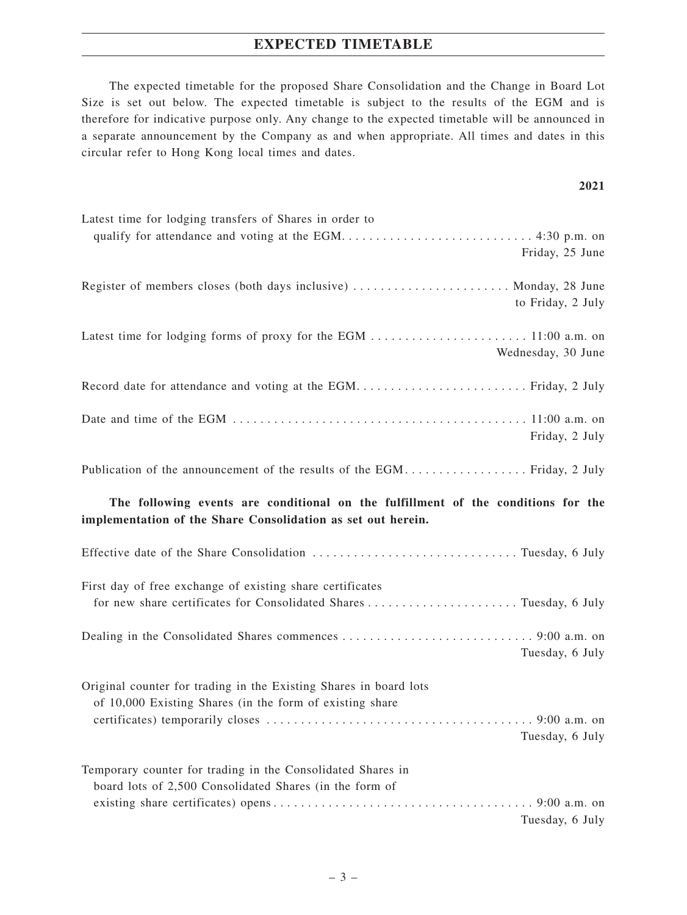# **EXPECTED TIMETABLE**

The expected timetable for the proposed Share Consolidation and the Change in Board Lot Size is set out below. The expected timetable is subject to the results of the EGM and is therefore for indicative purpose only. Any change to the expected timetable will be announced in a separate announcement by the Company as and when appropriate. All times and dates in this circular refer to Hong Kong local times and dates.

#### **2021**

| Latest time for lodging transfers of Shares in order to                                                                       |
|-------------------------------------------------------------------------------------------------------------------------------|
|                                                                                                                               |
| Friday, 25 June                                                                                                               |
| Register of members closes (both days inclusive)  Monday, 28 June                                                             |
| to Friday, 2 July                                                                                                             |
|                                                                                                                               |
|                                                                                                                               |
| Wednesday, 30 June                                                                                                            |
|                                                                                                                               |
|                                                                                                                               |
|                                                                                                                               |
| Friday, 2 July                                                                                                                |
| Publication of the announcement of the results of the EGM Friday, 2 July                                                      |
|                                                                                                                               |
| The following events are conditional on the fulfillment of the conditions for the                                             |
| implementation of the Share Consolidation as set out herein.                                                                  |
|                                                                                                                               |
|                                                                                                                               |
| First day of free exchange of existing share certificates                                                                     |
|                                                                                                                               |
|                                                                                                                               |
|                                                                                                                               |
| Tuesday, 6 July                                                                                                               |
|                                                                                                                               |
| Original counter for trading in the Existing Shares in board lots<br>of 10,000 Existing Shares (in the form of existing share |
|                                                                                                                               |
| Tuesday, 6 July                                                                                                               |
|                                                                                                                               |
| Temporary counter for trading in the Consolidated Shares in                                                                   |
| board lots of 2,500 Consolidated Shares (in the form of                                                                       |
|                                                                                                                               |
| Tuesday, 6 July                                                                                                               |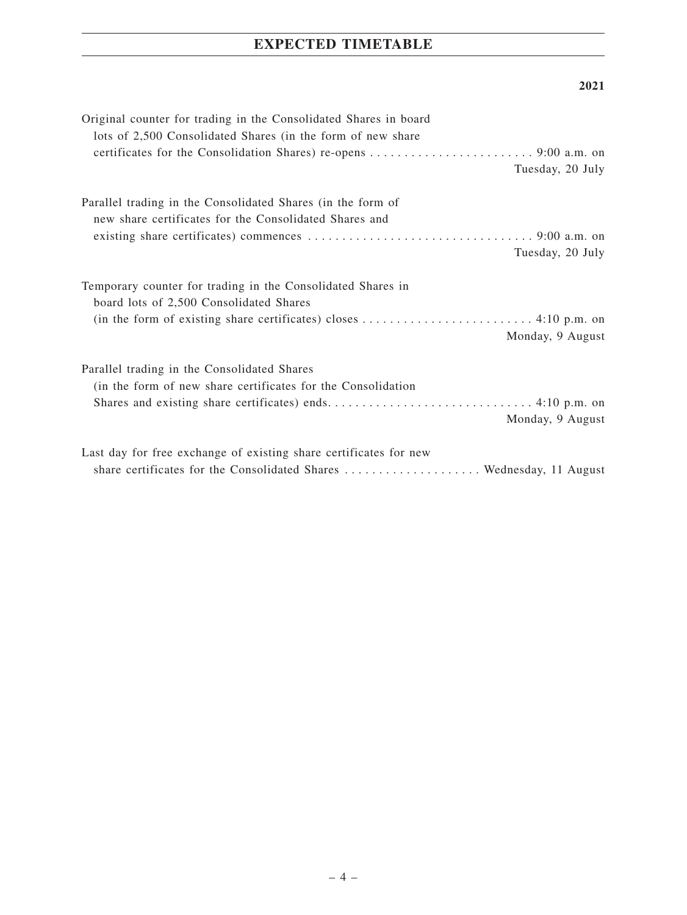# **EXPECTED TIMETABLE**

### **2021**

| Original counter for trading in the Consolidated Shares in board<br>lots of 2,500 Consolidated Shares (in the form of new share |
|---------------------------------------------------------------------------------------------------------------------------------|
|                                                                                                                                 |
| Tuesday, 20 July                                                                                                                |
| Parallel trading in the Consolidated Shares (in the form of                                                                     |
| new share certificates for the Consolidated Shares and                                                                          |
|                                                                                                                                 |
| Tuesday, 20 July                                                                                                                |
| Temporary counter for trading in the Consolidated Shares in<br>board lots of 2,500 Consolidated Shares                          |
| Monday, 9 August                                                                                                                |
| Parallel trading in the Consolidated Shares                                                                                     |
| (in the form of new share certificates for the Consolidation                                                                    |
| Monday, 9 August                                                                                                                |
| Last day for free exchange of existing share certificates for new                                                               |
| share certificates for the Consolidated Shares  Wednesday, 11 August                                                            |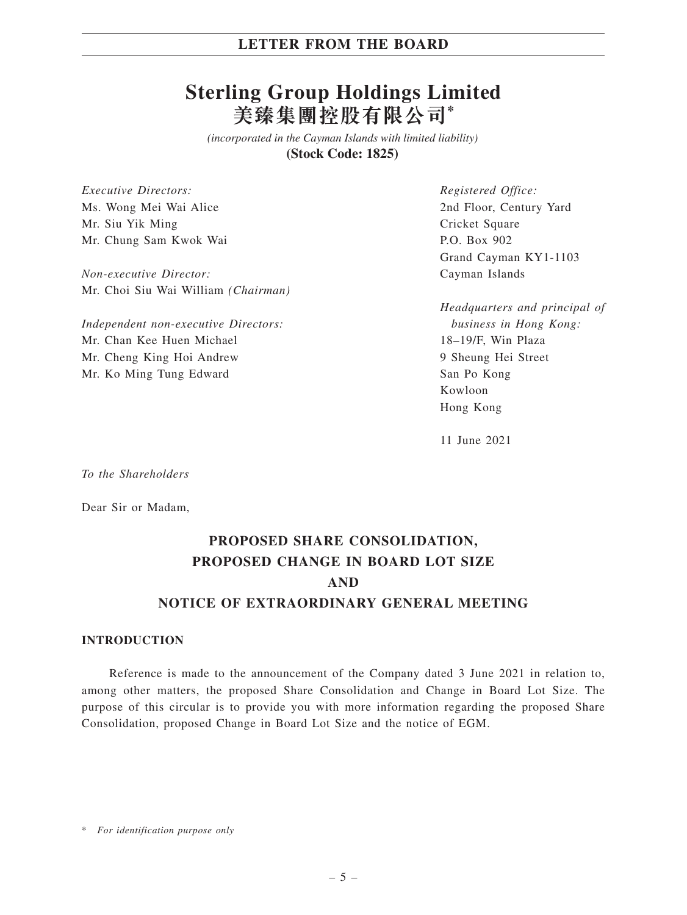# **Sterling Group Holdings Limited 美臻集團控股有限公司\***

*(incorporated in the Cayman Islands with limited liability)*  **(Stock Code: 1825)** 

*Executive Directors:* Ms. Wong Mei Wai Alice Mr. Siu Yik Ming Mr. Chung Sam Kwok Wai

*Non-executive Director:* Mr. Choi Siu Wai William *(Chairman)*

*Independent non-executive Directors:* Mr. Chan Kee Huen Michael Mr. Cheng King Hoi Andrew Mr. Ko Ming Tung Edward

*Registered Office:* 2nd Floor, Century Yard Cricket Square P.O. Box 902 Grand Cayman KY1-1103 Cayman Islands

*Headquarters and principal of business in Hong Kong:* 18–19/F, Win Plaza 9 Sheung Hei Street San Po Kong Kowloon Hong Kong

11 June 2021

*To the Shareholders*

Dear Sir or Madam,

# **PROPOSED SHARE CONSOLIDATION, PROPOSED CHANGE IN BOARD LOT SIZE AND NOTICE OF EXTRAORDINARY GENERAL MEETING**

#### **INTRODUCTION**

Reference is made to the announcement of the Company dated 3 June 2021 in relation to, among other matters, the proposed Share Consolidation and Change in Board Lot Size. The purpose of this circular is to provide you with more information regarding the proposed Share Consolidation, proposed Change in Board Lot Size and the notice of EGM.

\* *For identification purpose only*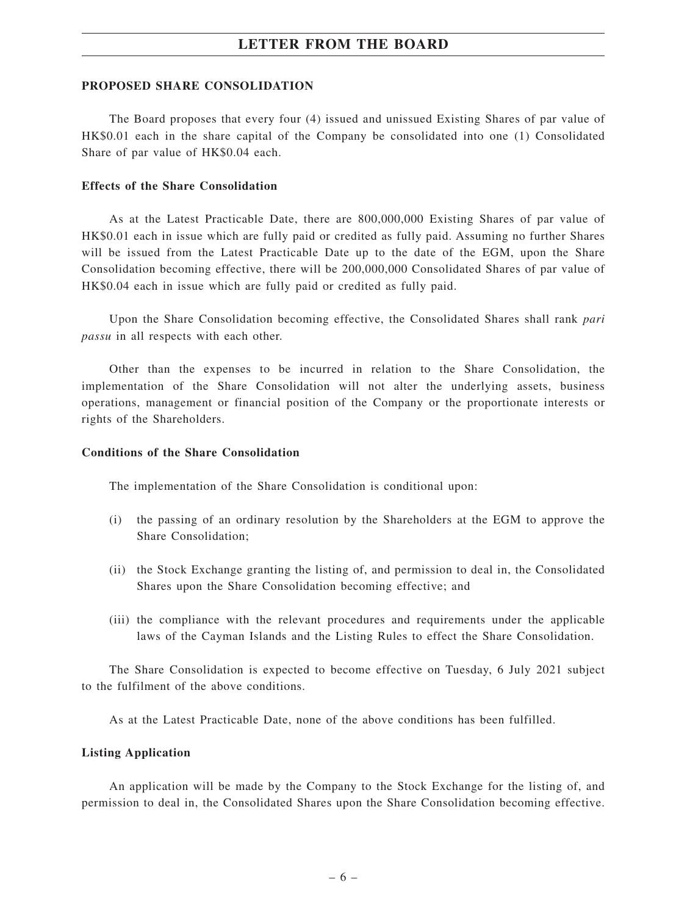#### **PROPOSED SHARE CONSOLIDATION**

The Board proposes that every four (4) issued and unissued Existing Shares of par value of HK\$0.01 each in the share capital of the Company be consolidated into one (1) Consolidated Share of par value of HK\$0.04 each.

#### **Effects of the Share Consolidation**

As at the Latest Practicable Date, there are 800,000,000 Existing Shares of par value of HK\$0.01 each in issue which are fully paid or credited as fully paid. Assuming no further Shares will be issued from the Latest Practicable Date up to the date of the EGM, upon the Share Consolidation becoming effective, there will be 200,000,000 Consolidated Shares of par value of HK\$0.04 each in issue which are fully paid or credited as fully paid.

Upon the Share Consolidation becoming effective, the Consolidated Shares shall rank *pari passu* in all respects with each other.

Other than the expenses to be incurred in relation to the Share Consolidation, the implementation of the Share Consolidation will not alter the underlying assets, business operations, management or financial position of the Company or the proportionate interests or rights of the Shareholders.

#### **Conditions of the Share Consolidation**

The implementation of the Share Consolidation is conditional upon:

- (i) the passing of an ordinary resolution by the Shareholders at the EGM to approve the Share Consolidation;
- (ii) the Stock Exchange granting the listing of, and permission to deal in, the Consolidated Shares upon the Share Consolidation becoming effective; and
- (iii) the compliance with the relevant procedures and requirements under the applicable laws of the Cayman Islands and the Listing Rules to effect the Share Consolidation.

The Share Consolidation is expected to become effective on Tuesday, 6 July 2021 subject to the fulfilment of the above conditions.

As at the Latest Practicable Date, none of the above conditions has been fulfilled.

#### **Listing Application**

An application will be made by the Company to the Stock Exchange for the listing of, and permission to deal in, the Consolidated Shares upon the Share Consolidation becoming effective.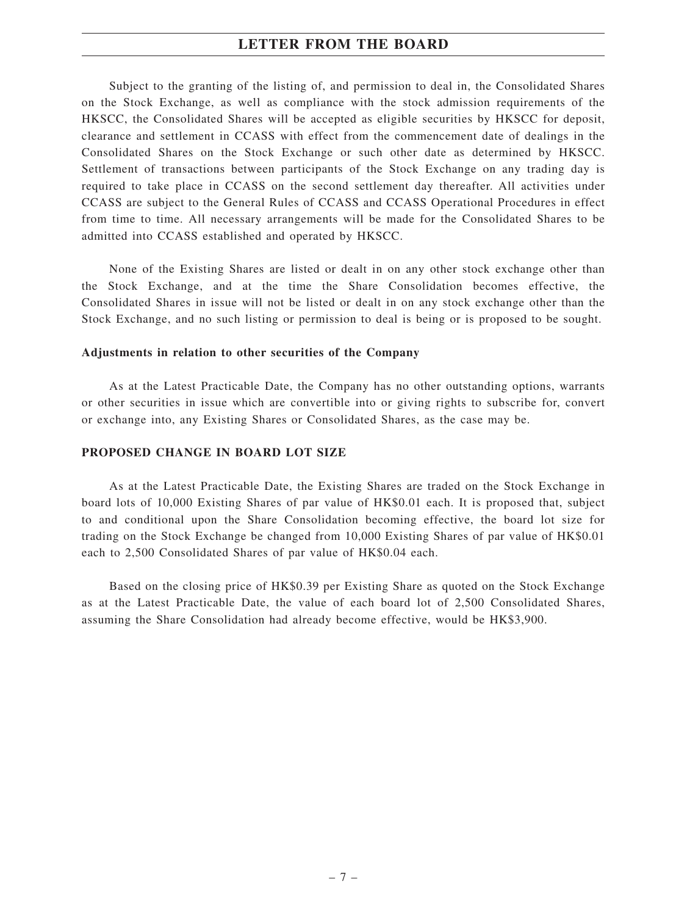Subject to the granting of the listing of, and permission to deal in, the Consolidated Shares on the Stock Exchange, as well as compliance with the stock admission requirements of the HKSCC, the Consolidated Shares will be accepted as eligible securities by HKSCC for deposit, clearance and settlement in CCASS with effect from the commencement date of dealings in the Consolidated Shares on the Stock Exchange or such other date as determined by HKSCC. Settlement of transactions between participants of the Stock Exchange on any trading day is required to take place in CCASS on the second settlement day thereafter. All activities under CCASS are subject to the General Rules of CCASS and CCASS Operational Procedures in effect from time to time. All necessary arrangements will be made for the Consolidated Shares to be admitted into CCASS established and operated by HKSCC.

None of the Existing Shares are listed or dealt in on any other stock exchange other than the Stock Exchange, and at the time the Share Consolidation becomes effective, the Consolidated Shares in issue will not be listed or dealt in on any stock exchange other than the Stock Exchange, and no such listing or permission to deal is being or is proposed to be sought.

#### **Adjustments in relation to other securities of the Company**

As at the Latest Practicable Date, the Company has no other outstanding options, warrants or other securities in issue which are convertible into or giving rights to subscribe for, convert or exchange into, any Existing Shares or Consolidated Shares, as the case may be.

#### **PROPOSED CHANGE IN BOARD LOT SIZE**

As at the Latest Practicable Date, the Existing Shares are traded on the Stock Exchange in board lots of 10,000 Existing Shares of par value of HK\$0.01 each. It is proposed that, subject to and conditional upon the Share Consolidation becoming effective, the board lot size for trading on the Stock Exchange be changed from 10,000 Existing Shares of par value of HK\$0.01 each to 2,500 Consolidated Shares of par value of HK\$0.04 each.

Based on the closing price of HK\$0.39 per Existing Share as quoted on the Stock Exchange as at the Latest Practicable Date, the value of each board lot of 2,500 Consolidated Shares, assuming the Share Consolidation had already become effective, would be HK\$3,900.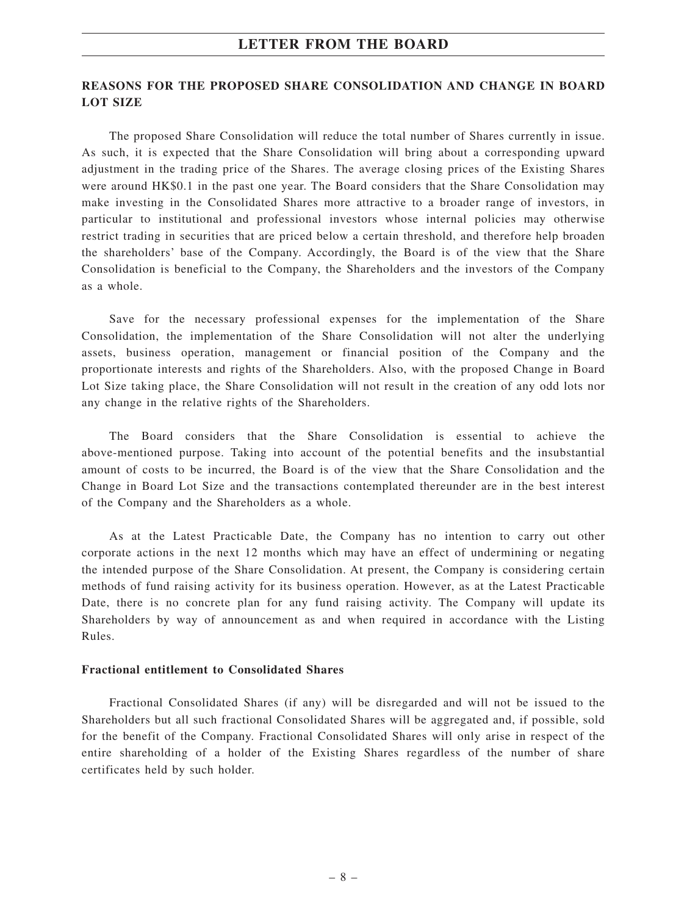## **REASONS FOR THE PROPOSED SHARE CONSOLIDATION AND CHANGE IN BOARD LOT SIZE**

The proposed Share Consolidation will reduce the total number of Shares currently in issue. As such, it is expected that the Share Consolidation will bring about a corresponding upward adjustment in the trading price of the Shares. The average closing prices of the Existing Shares were around HK\$0.1 in the past one year. The Board considers that the Share Consolidation may make investing in the Consolidated Shares more attractive to a broader range of investors, in particular to institutional and professional investors whose internal policies may otherwise restrict trading in securities that are priced below a certain threshold, and therefore help broaden the shareholders' base of the Company. Accordingly, the Board is of the view that the Share Consolidation is beneficial to the Company, the Shareholders and the investors of the Company as a whole.

Save for the necessary professional expenses for the implementation of the Share Consolidation, the implementation of the Share Consolidation will not alter the underlying assets, business operation, management or financial position of the Company and the proportionate interests and rights of the Shareholders. Also, with the proposed Change in Board Lot Size taking place, the Share Consolidation will not result in the creation of any odd lots nor any change in the relative rights of the Shareholders.

The Board considers that the Share Consolidation is essential to achieve the above-mentioned purpose. Taking into account of the potential benefits and the insubstantial amount of costs to be incurred, the Board is of the view that the Share Consolidation and the Change in Board Lot Size and the transactions contemplated thereunder are in the best interest of the Company and the Shareholders as a whole.

As at the Latest Practicable Date, the Company has no intention to carry out other corporate actions in the next 12 months which may have an effect of undermining or negating the intended purpose of the Share Consolidation. At present, the Company is considering certain methods of fund raising activity for its business operation. However, as at the Latest Practicable Date, there is no concrete plan for any fund raising activity. The Company will update its Shareholders by way of announcement as and when required in accordance with the Listing Rules.

#### **Fractional entitlement to Consolidated Shares**

Fractional Consolidated Shares (if any) will be disregarded and will not be issued to the Shareholders but all such fractional Consolidated Shares will be aggregated and, if possible, sold for the benefit of the Company. Fractional Consolidated Shares will only arise in respect of the entire shareholding of a holder of the Existing Shares regardless of the number of share certificates held by such holder.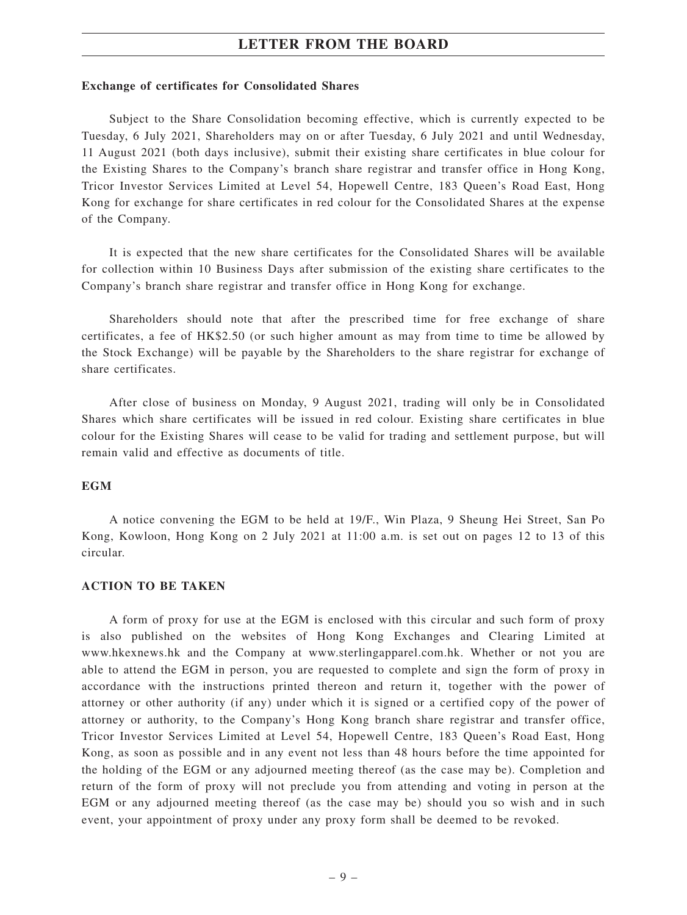#### **Exchange of certificates for Consolidated Shares**

Subject to the Share Consolidation becoming effective, which is currently expected to be Tuesday, 6 July 2021, Shareholders may on or after Tuesday, 6 July 2021 and until Wednesday, 11 August 2021 (both days inclusive), submit their existing share certificates in blue colour for the Existing Shares to the Company's branch share registrar and transfer office in Hong Kong, Tricor Investor Services Limited at Level 54, Hopewell Centre, 183 Queen's Road East, Hong Kong for exchange for share certificates in red colour for the Consolidated Shares at the expense of the Company.

It is expected that the new share certificates for the Consolidated Shares will be available for collection within 10 Business Days after submission of the existing share certificates to the Company's branch share registrar and transfer office in Hong Kong for exchange.

Shareholders should note that after the prescribed time for free exchange of share certificates, a fee of HK\$2.50 (or such higher amount as may from time to time be allowed by the Stock Exchange) will be payable by the Shareholders to the share registrar for exchange of share certificates.

After close of business on Monday, 9 August 2021, trading will only be in Consolidated Shares which share certificates will be issued in red colour. Existing share certificates in blue colour for the Existing Shares will cease to be valid for trading and settlement purpose, but will remain valid and effective as documents of title.

#### **EGM**

A notice convening the EGM to be held at 19/F., Win Plaza, 9 Sheung Hei Street, San Po Kong, Kowloon, Hong Kong on 2 July 2021 at 11:00 a.m. is set out on pages 12 to 13 of this circular.

#### **ACTION TO BE TAKEN**

A form of proxy for use at the EGM is enclosed with this circular and such form of proxy is also published on the websites of Hong Kong Exchanges and Clearing Limited at www.hkexnews.hk and the Company at www.sterlingapparel.com.hk. Whether or not you are able to attend the EGM in person, you are requested to complete and sign the form of proxy in accordance with the instructions printed thereon and return it, together with the power of attorney or other authority (if any) under which it is signed or a certified copy of the power of attorney or authority, to the Company's Hong Kong branch share registrar and transfer office, Tricor Investor Services Limited at Level 54, Hopewell Centre, 183 Queen's Road East, Hong Kong, as soon as possible and in any event not less than 48 hours before the time appointed for the holding of the EGM or any adjourned meeting thereof (as the case may be). Completion and return of the form of proxy will not preclude you from attending and voting in person at the EGM or any adjourned meeting thereof (as the case may be) should you so wish and in such event, your appointment of proxy under any proxy form shall be deemed to be revoked.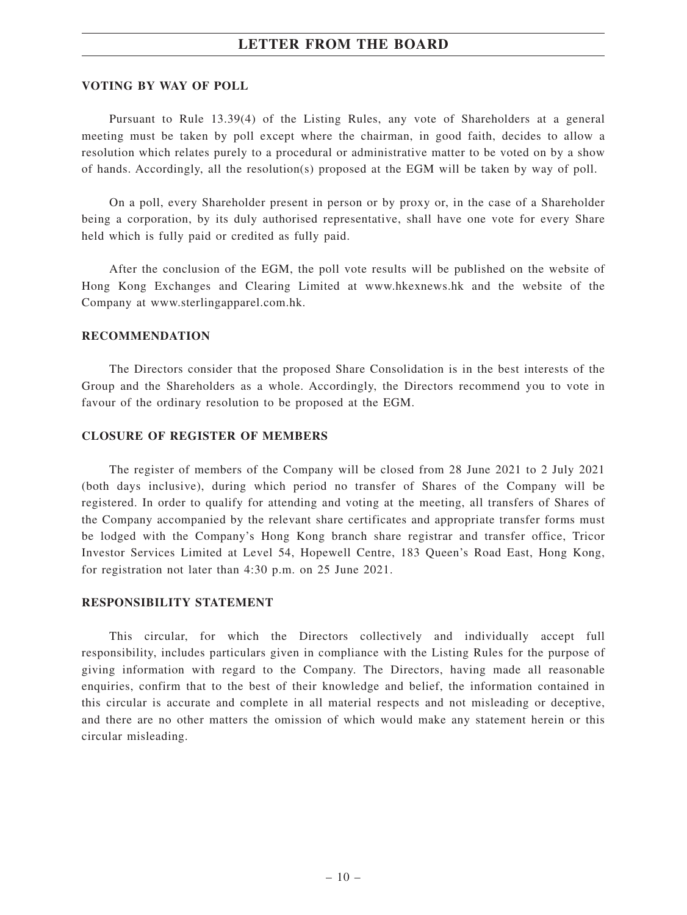#### **VOTING BY WAY OF POLL**

Pursuant to Rule 13.39(4) of the Listing Rules, any vote of Shareholders at a general meeting must be taken by poll except where the chairman, in good faith, decides to allow a resolution which relates purely to a procedural or administrative matter to be voted on by a show of hands. Accordingly, all the resolution(s) proposed at the EGM will be taken by way of poll.

On a poll, every Shareholder present in person or by proxy or, in the case of a Shareholder being a corporation, by its duly authorised representative, shall have one vote for every Share held which is fully paid or credited as fully paid.

After the conclusion of the EGM, the poll vote results will be published on the website of Hong Kong Exchanges and Clearing Limited at www.hkexnews.hk and the website of the Company at www.sterlingapparel.com.hk.

#### **RECOMMENDATION**

The Directors consider that the proposed Share Consolidation is in the best interests of the Group and the Shareholders as a whole. Accordingly, the Directors recommend you to vote in favour of the ordinary resolution to be proposed at the EGM.

#### **CLOSURE OF REGISTER OF MEMBERS**

The register of members of the Company will be closed from 28 June 2021 to 2 July 2021 (both days inclusive), during which period no transfer of Shares of the Company will be registered. In order to qualify for attending and voting at the meeting, all transfers of Shares of the Company accompanied by the relevant share certificates and appropriate transfer forms must be lodged with the Company's Hong Kong branch share registrar and transfer office, Tricor Investor Services Limited at Level 54, Hopewell Centre, 183 Queen's Road East, Hong Kong, for registration not later than 4:30 p.m. on 25 June 2021.

#### **RESPONSIBILITY STATEMENT**

This circular, for which the Directors collectively and individually accept full responsibility, includes particulars given in compliance with the Listing Rules for the purpose of giving information with regard to the Company. The Directors, having made all reasonable enquiries, confirm that to the best of their knowledge and belief, the information contained in this circular is accurate and complete in all material respects and not misleading or deceptive, and there are no other matters the omission of which would make any statement herein or this circular misleading.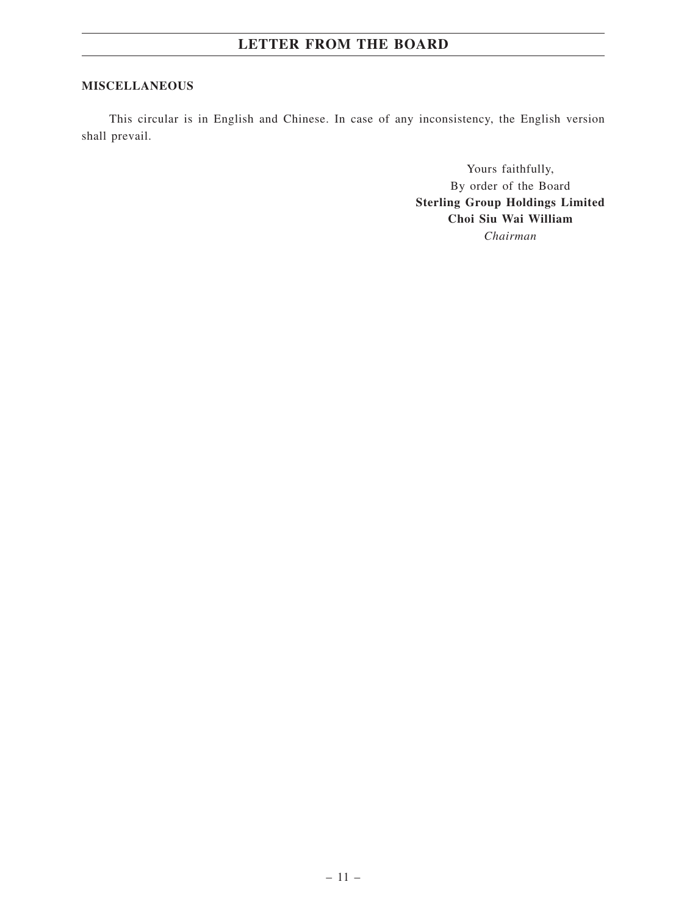# **MISCELLANEOUS**

This circular is in English and Chinese. In case of any inconsistency, the English version shall prevail.

> Yours faithfully, By order of the Board **Sterling Group Holdings Limited Choi Siu Wai William** *Chairman*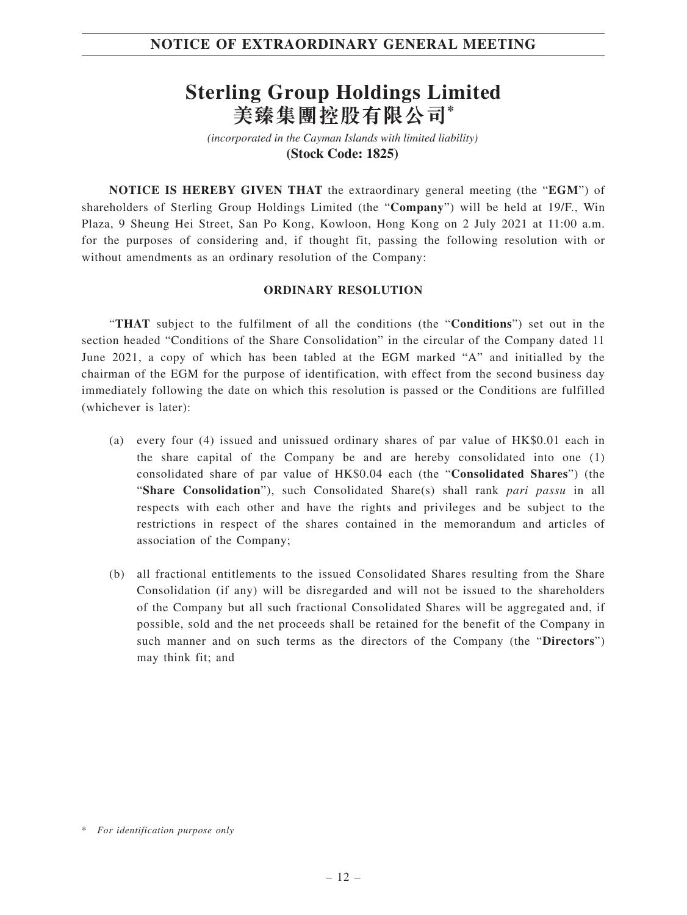# **Sterling Group Holdings Limited 美臻集團控股有限公司\***

*(incorporated in the Cayman Islands with limited liability)*  **(Stock Code: 1825)** 

**NOTICE IS HEREBY GIVEN THAT** the extraordinary general meeting (the "**EGM**") of shareholders of Sterling Group Holdings Limited (the "**Company**") will be held at 19/F., Win Plaza, 9 Sheung Hei Street, San Po Kong, Kowloon, Hong Kong on 2 July 2021 at 11:00 a.m. for the purposes of considering and, if thought fit, passing the following resolution with or without amendments as an ordinary resolution of the Company:

#### **ORDINARY RESOLUTION**

"**THAT** subject to the fulfilment of all the conditions (the "**Conditions**") set out in the section headed "Conditions of the Share Consolidation" in the circular of the Company dated 11 June 2021, a copy of which has been tabled at the EGM marked "A" and initialled by the chairman of the EGM for the purpose of identification, with effect from the second business day immediately following the date on which this resolution is passed or the Conditions are fulfilled (whichever is later):

- (a) every four (4) issued and unissued ordinary shares of par value of HK\$0.01 each in the share capital of the Company be and are hereby consolidated into one (1) consolidated share of par value of HK\$0.04 each (the "**Consolidated Shares**") (the "**Share Consolidation**"), such Consolidated Share(s) shall rank *pari passu* in all respects with each other and have the rights and privileges and be subject to the restrictions in respect of the shares contained in the memorandum and articles of association of the Company;
- (b) all fractional entitlements to the issued Consolidated Shares resulting from the Share Consolidation (if any) will be disregarded and will not be issued to the shareholders of the Company but all such fractional Consolidated Shares will be aggregated and, if possible, sold and the net proceeds shall be retained for the benefit of the Company in such manner and on such terms as the directors of the Company (the "**Directors**") may think fit; and

<sup>\*</sup> *For identification purpose only*